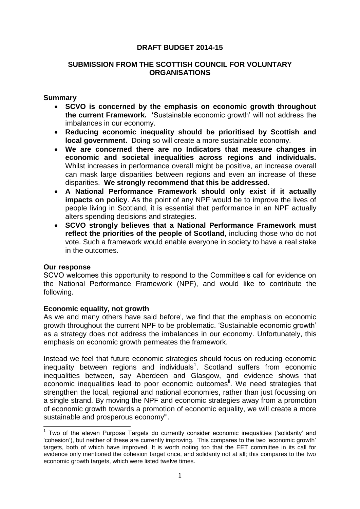## **DRAFT BUDGET 2014-15**

## **SUBMISSION FROM THE SCOTTISH COUNCIL FOR VOLUNTARY ORGANISATIONS**

### **Summary**

- **SCVO is concerned by the emphasis on economic growth throughout the current Framework. '**Sustainable economic growth' will not address the imbalances in our economy.
- **Reducing economic inequality should be prioritised by Scottish and local government.** Doing so will create a more sustainable economy.
- **We are concerned there are no Indicators that measure changes in economic and societal inequalities across regions and individuals.** Whilst increases in performance overall might be positive, an increase overall can mask large disparities between regions and even an increase of these disparities. **We strongly recommend that this be addressed.**
- **A National Performance Framework should only exist if it actually impacts on policy**. As the point of any NPF would be to improve the lives of people living in Scotland, it is essential that performance in an NPF actually alters spending decisions and strategies.
- **SCVO strongly believes that a National Performance Framework must reflect the priorities of the people of Scotland**, including those who do not vote. Such a framework would enable everyone in society to have a real stake in the outcomes.

### **Our response**

1

SCVO welcomes this opportunity to respond to the Committee's call for evidence on the National Performance Framework (NPF), and would like to contribute the following.

### **Economic equality, not growth**

As we and many others have said before<sup>i</sup>, we find that the emphasis on economic growth throughout the current NPF to be problematic. 'Sustainable economic growth' as a strategy does not address the imbalances in our economy. Unfortunately, this emphasis on economic growth permeates the framework.

Instead we feel that future economic strategies should focus on reducing economic inequality between regions and individuals<sup>1</sup>. Scotland suffers from economic inequalities between, say Aberdeen and Glasgow, and evidence shows that economic inequalities lead to poor economic outcomes<sup>ii</sup>. We need strategies that strengthen the local, regional and national economies, rather than just focussing on a single strand. By moving the NPF and economic strategies away from a promotion of economic growth towards a promotion of economic equality, we will create a more sustainable and prosperous economy<sup>iii</sup>.

<sup>&</sup>lt;sup>1</sup> Two of the eleven Purpose Targets do currently consider economic inequalities ('solidarity' and 'cohesion'), but neither of these are currently improving. This compares to the two 'economic growth' targets, both of which have improved. It is worth noting too that the EET committee in its call for evidence only mentioned the cohesion target once, and solidarity not at all; this compares to the two economic growth targets, which were listed twelve times.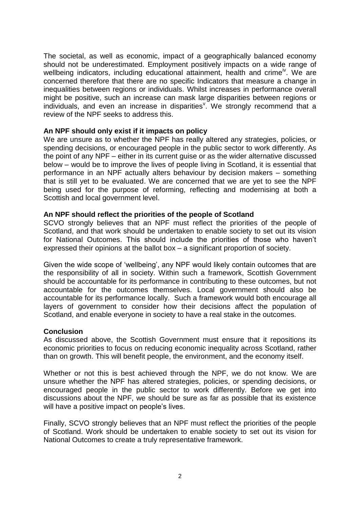The societal, as well as economic, impact of a geographically balanced economy should not be underestimated. Employment positively impacts on a wide range of wellbeing indicators, including educational attainment, health and crime<sup>iv</sup>. We are concerned therefore that there are no specific Indicators that measure a change in inequalities between regions or individuals. Whilst increases in performance overall might be positive, such an increase can mask large disparities between regions or individuals, and even an increase in disparities<sup>v</sup>. We strongly recommend that a review of the NPF seeks to address this.

# **An NPF should only exist if it impacts on policy**

We are unsure as to whether the NPF has really altered any strategies, policies, or spending decisions, or encouraged people in the public sector to work differently. As the point of any NPF – either in its current guise or as the wider alternative discussed below – would be to improve the lives of people living in Scotland, it is essential that performance in an NPF actually alters behaviour by decision makers – something that is still yet to be evaluated. We are concerned that we are yet to see the NPF being used for the purpose of reforming, reflecting and modernising at both a Scottish and local government level.

### **An NPF should reflect the priorities of the people of Scotland**

SCVO strongly believes that an NPF must reflect the priorities of the people of Scotland, and that work should be undertaken to enable society to set out its vision for National Outcomes. This should include the priorities of those who haven't expressed their opinions at the ballot box – a significant proportion of society.

Given the wide scope of 'wellbeing', any NPF would likely contain outcomes that are the responsibility of all in society. Within such a framework, Scottish Government should be accountable for its performance in contributing to these outcomes, but not accountable for the outcomes themselves. Local government should also be accountable for its performance locally. Such a framework would both encourage all layers of government to consider how their decisions affect the population of Scotland, and enable everyone in society to have a real stake in the outcomes.

### **Conclusion**

As discussed above, the Scottish Government must ensure that it repositions its economic priorities to focus on reducing economic inequality across Scotland, rather than on growth. This will benefit people, the environment, and the economy itself.

Whether or not this is best achieved through the NPF, we do not know. We are unsure whether the NPF has altered strategies, policies, or spending decisions, or encouraged people in the public sector to work differently. Before we get into discussions about the NPF, we should be sure as far as possible that its existence will have a positive impact on people's lives.

Finally, SCVO strongly believes that an NPF must reflect the priorities of the people of Scotland. Work should be undertaken to enable society to set out its vision for National Outcomes to create a truly representative framework.